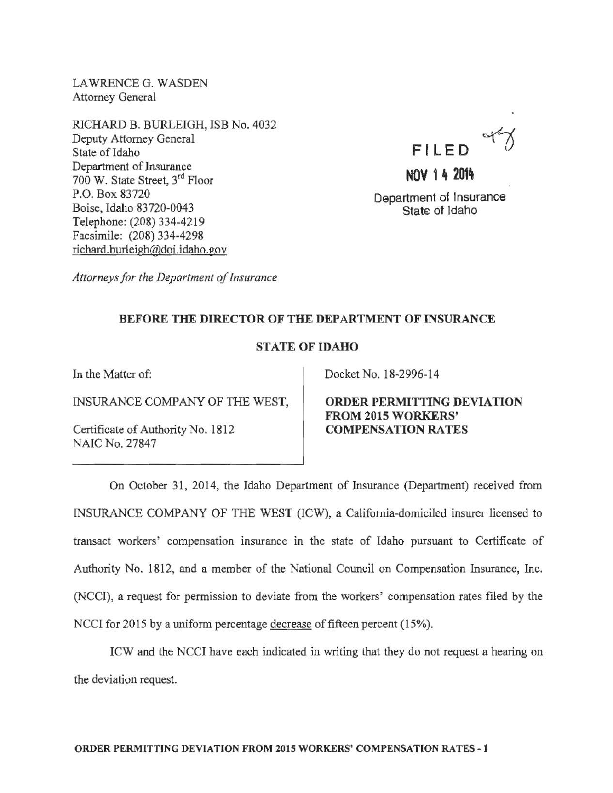LAWRENCE G. WASDEN Attorney General

RJCHARD B. BURLEIGH, ISB No. 4032 Deputy Attorney General State of Idaho Department of Insurance 700 W. State Street, 3rd Floor P.O. Box 83720 Boise, Idaho 83 720-0043 Telephone: (208) 334-4219 Facsimile: (208) 334-4298 richard. burleigh@doi. idaho .gov

Fl **LED** 

**NOV 14** 201~ Department of Insurance State of Idaho

*Attorneys for the Department of Insurance* 

## BEFORE THE DIRECTOR OF THE DEPARTMENT OF INSURANCE

## STATE OF IDAHO

In the Matter of:

INSURANCE COMPANY OF THE WEST,

Certificate of Authority No. 1812 NAIC No. 27847

Docket No. 18-2996-14

ORDER PERMITTING DEVIATION FROM 2015 WORKERS' COMPENSATION RATES

On October 31, 2014, the Idaho Department of Insurance (Department) received from INSURANCE COMPANY OF THE WEST (ICW), a California-domiciled insurer licensed to transact workers' compensation insurance in the state of Idaho pursuant to Certificate of Authority No. 1812, and a member of the National Council on Compensation Insurance, Inc. (NCCI), a request for permission to deviate from the workers' compensation rates filed by the NCCI for 2015 by a uniform percentage decrease of fifteen percent (15%).

ICW and the NCCI have each indicated in writing that they do not request a hearing on the deviation request.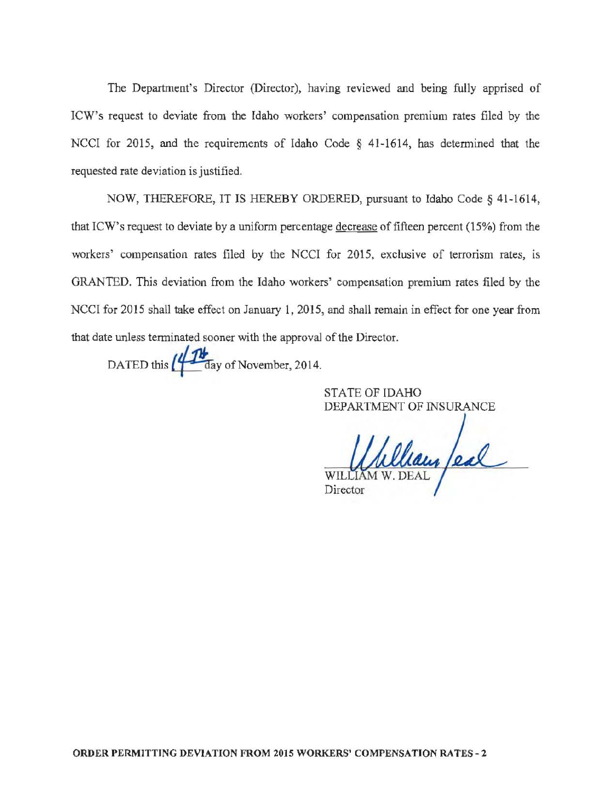The Department's Director (Director), having reviewed and being fully apprised of ICW's request to deviate from the Idaho workers' compensation premium rates filed by the NCCI for 2015, and the requirements of Idaho Code § 41-1614, has determined that the requested rate deviation is justified.

NOW, THEREFORE, IT IS HEREBY ORDERED, pursuant to Idaho Code§ 41-1614, that ICW's request to deviate by a uniform percentage decrease of fifteen percent (15%) from the workers' compensation rates filed by the NCCI for 2015, exclusive of terrorism rates, is GRANTED. This deviation from the Idaho workers' compensation premium rates filed by the NCCI for 2015 shall take effect on January 1, 2015, and shall remain in effect for one year from that date unless terminated sooner with the approval of the Director.

DATED this  $\left(\frac{1}{10}\right)$  day of November, 2014.

STATE OF IDAHO DEPARTMENT OF INSURANCE

WILLIAM W. DEAL